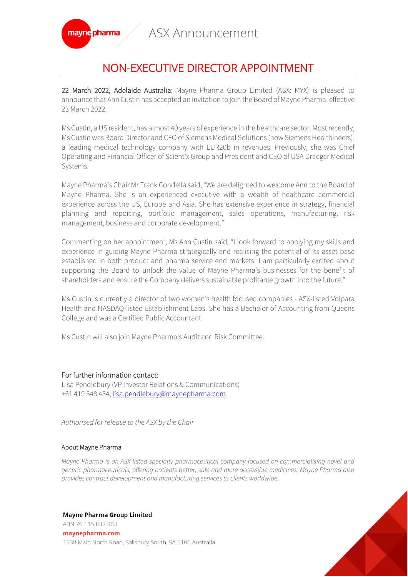ASX Announcement



## NON-EXECUTIVE DIRECTOR APPOINTMENT

22 March 2022, Adelaide Australia: Mayne Pharma Group Limited (ASX: MYX) is pleased to announce that Ann Custin has accepted an invitation to join the Board of Mayne Pharma, effective 23 March 2022.

Ms Custin, a US resident, has almost 40 years of experience in the healthcare sector. Most recently, Ms Custin was Board Director and CFO of Siemens Medical Solutions (now Siemens Healthineers), a leading medical technology company with EUR20b in revenues. Previously, she was Chief Operating and Financial Officer of Scient'x Group and President and CEO of USA Draeger Medical Systems.

Mayne Pharma's Chair Mr Frank Condella said, "We are delighted to welcome Ann to the Board of Mayne Pharma. She is an experienced executive with a wealth of healthcare commercial experience across the US, Europe and Asia. She has extensive experience in strategy, financial planning and reporting, portfolio management, sales operations, manufacturing, risk management, business and corporate development."

Commenting on her appointment, Ms Ann Custin said, "I look forward to applying my skills and experience in guiding Mayne Pharma strategically and realising the potential of its asset base established in both product and pharma service end markets. I am particularly excited about supporting the Board to unlock the value of Mayne Pharma's businesses for the benefit of shareholders and ensure the Company delivers sustainable profitable growth into the future."

Ms Custin is currently a director of two women's health focused companies - ASX-listed Volpara Health and NASDAQ-listed Establishment Labs. She has a Bachelor of Accounting from Queens College and was a Certified Public Accountant.

Ms Custin will also join Mayne Pharma's Audit and Risk Committee.

## For further information contact:

Lisa Pendlebury (VP Investor Relations & Communications) +61 419 548 434[, lisa.pendlebury@maynepharma.com](mailto:lisa.pendlebury@maynepharma.com)

*Authorised for release to the ASX by the Chair*

## About Mayne Pharma

*Mayne Pharma is an ASX-listed specialty pharmaceutical company focused on commercialising novel and generic pharmaceuticals, offering patients better, safe and more accessible medicines. Mayne Pharma also provides contract development and manufacturing services to clients worldwide.*

**Mayne Pharma Group Limited** ABN 76 115 832 963

maynepharma.com 1538 Main North Road, Salisbury South, SA 5106 Australia